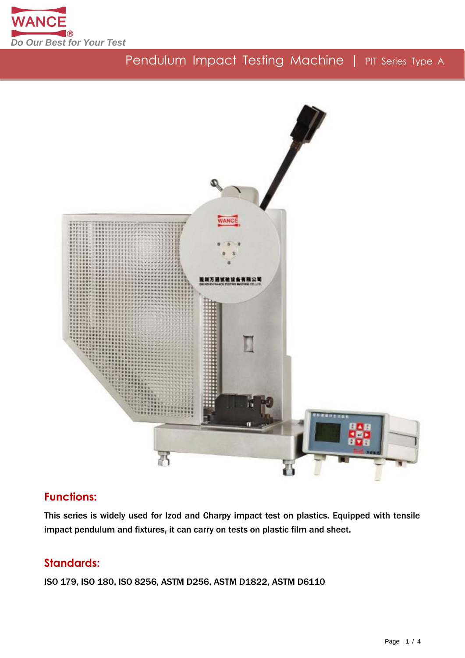

# Pendulum Impact Testing Machine | PIT Series Type A



## **Functions:**

This series is widely used for Izod and Charpy impact test on plastics. Equipped with tensile impact pendulum and fixtures, it can carry on tests on plastic film and sheet.

## **Standards:**

ISO 179, ISO 180, ISO 8256, ASTM D256, ASTM D1822, ASTM D6110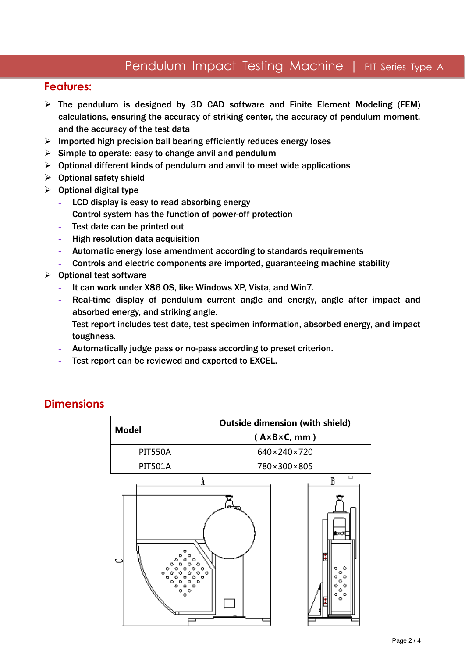## Pendulum Impact Testing Machine | PIT Series Type A

### **Features:**

- $\triangleright$  The pendulum is designed by 3D CAD software and Finite Element Modeling (FEM) calculations, ensuring the accuracy of striking center, the accuracy of pendulum moment, and the accuracy of the test data
- $\triangleright$  Imported high precision ball bearing efficiently reduces energy loses
- $\triangleright$  Simple to operate: easy to change anvil and pendulum
- $\triangleright$  Optional different kinds of pendulum and anvil to meet wide applications
- $\triangleright$  Optional safety shield
- $\triangleright$  Optional digital type
	- LCD display is easy to read absorbing energy
	- Control system has the function of power-off protection
	- Test date can be printed out
	- High resolution data acquisition
	- Automatic energy lose amendment according to standards requirements
	- Controls and electric components are imported, guaranteeing machine stability
- $\triangleright$  Optional test software
	- It can work under X86 OS, like Windows XP, Vista, and Win7.
	- Real-time display of pendulum current angle and energy, angle after impact and absorbed energy, and striking angle.
	- Test report includes test date, test specimen information, absorbed energy, and impact toughness.
	- Automatically judge pass or no-pass according to preset criterion.
	- Test report can be reviewed and exported to EXCEL.

### **Dimensions**

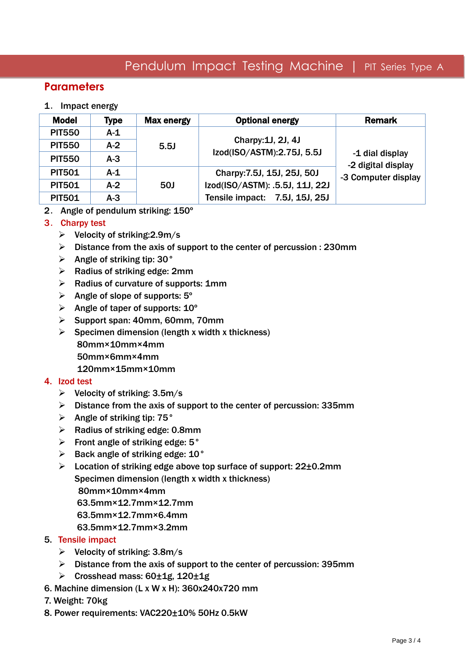## Pendulum Impact Testing Machine | PIT Series Type A

### **Parameters**

#### 1. Impact energy

| <b>Model</b>  | <b>Type</b> | <b>Max energy</b> | <b>Optional energy</b>          | <b>Remark</b>                                                |
|---------------|-------------|-------------------|---------------------------------|--------------------------------------------------------------|
| <b>PIT550</b> | $A-1$       |                   |                                 | -1 dial display<br>-2 digital display<br>-3 Computer display |
| <b>PIT550</b> | $A-2$       | 5.5J              | Charpy: 1J, 2J, 4J              |                                                              |
| <b>PIT550</b> | $A-3$       |                   | Izod(ISO/ASTM):2.75J, 5.5J      |                                                              |
| <b>PIT501</b> | $A-1$       |                   | Charpy: 7.5J, 15J, 25J, 50J     |                                                              |
| <b>PIT501</b> | $A-2$       | <b>50J</b>        | Izod(ISO/ASTM): .5.5J, 11J, 22J |                                                              |
| <b>PIT501</b> | $A-3$       |                   | Tensile impact: 7.5J, 15J, 25J  |                                                              |

#### 2. Angle of pendulum striking: 150°

#### 3. Charpy test

- $\triangleright$  Velocity of striking: 2.9m/s
- $\triangleright$  Distance from the axis of support to the center of percussion : 230mm
- $\triangleright$  Angle of striking tip: 30 $^{\circ}$
- $\triangleright$  Radius of striking edge: 2mm
- $\triangleright$  Radius of curvature of supports: 1mm
- $\triangleright$  Angle of slope of supports: 5°
- $\triangleright$  Angle of taper of supports: 10<sup>°</sup>
- $\triangleright$  Support span: 40mm, 60mm, 70mm
- $\triangleright$  Specimen dimension (length x width x thickness) 80mm×10mm×4mm 50mm×6mm×4mm 120mm×15mm×10mm

#### 4. Izod test

- $\triangleright$  Velocity of striking: 3.5m/s
- $\triangleright$  Distance from the axis of support to the center of percussion: 335mm
- $\triangleright$  Angle of striking tip: 75 $^{\circ}$
- $\triangleright$  Radius of striking edge: 0.8mm
- $\triangleright$  Front angle of striking edge: 5 $\degree$
- $\triangleright$  Back angle of striking edge: 10°
- $\triangleright$  Location of striking edge above top surface of support: 22 $\pm$ 0.2mm Specimen dimension (length x width x thickness)

80mm×10mm×4mm

63.5mm×12.7mm×12.7mm

- 63.5mm×12.7mm×6.4mm
- 63.5mm×12.7mm×3.2mm
- 5. Tensile impact
	- $\triangleright$  Velocity of striking: 3.8m/s
	- $\triangleright$  Distance from the axis of support to the center of percussion: 395mm
	- $▶$  Crosshead mass: 60 $±1g$ , 120 $±1g$
- 6. Machine dimension (L x W x H): 360x240x720 mm
- 7. Weight: 70kg
- 8. Power requirements: VAC220±10% 50Hz 0.5kW